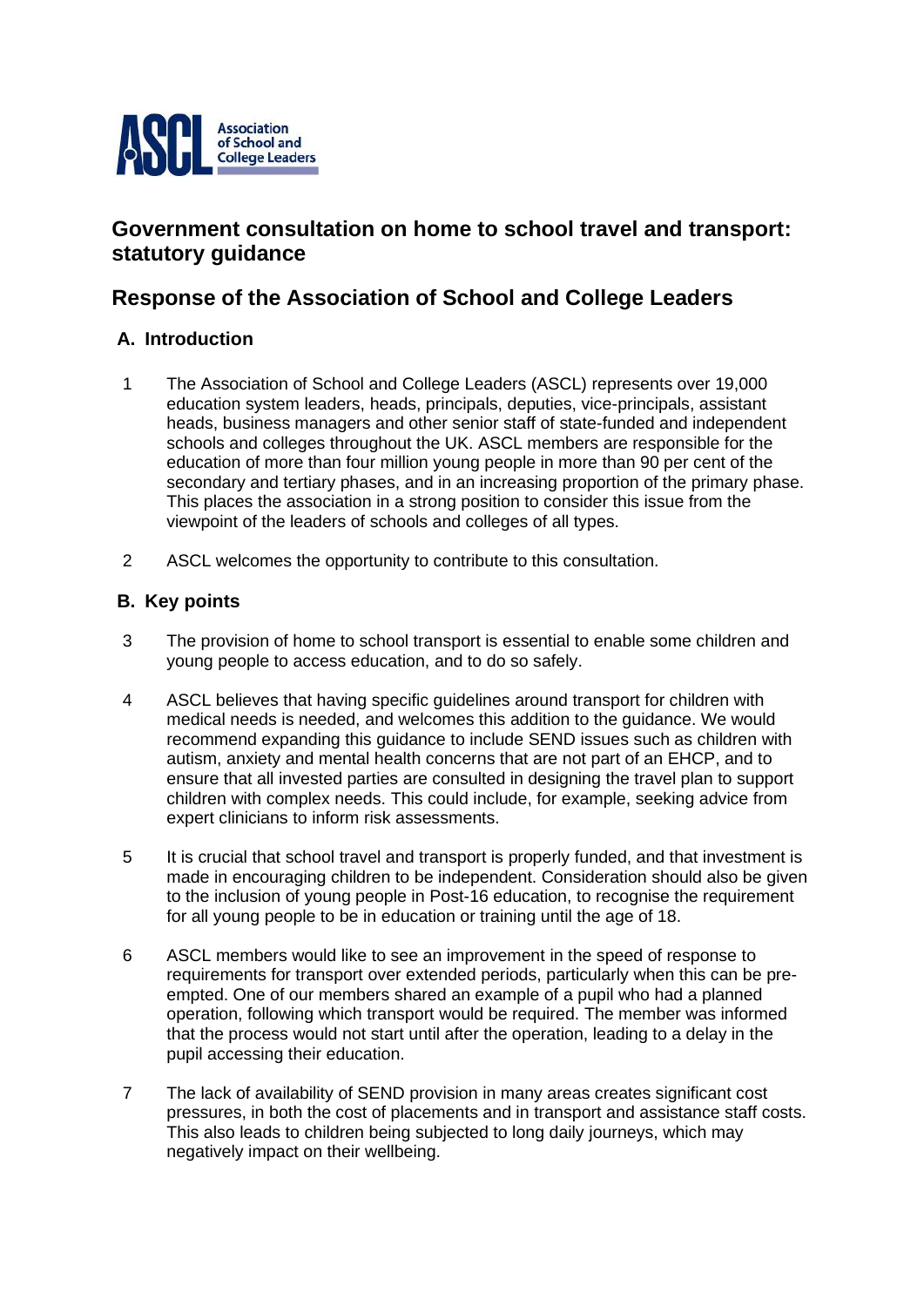

# **Government consultation on home to school travel and transport: statutory guidance**

# **Response of the Association of School and College Leaders**

## **A. Introduction**

- 1 The Association of School and College Leaders (ASCL) represents over 19,000 education system leaders, heads, principals, deputies, vice-principals, assistant heads, business managers and other senior staff of state-funded and independent schools and colleges throughout the UK. ASCL members are responsible for the education of more than four million young people in more than 90 per cent of the secondary and tertiary phases, and in an increasing proportion of the primary phase. This places the association in a strong position to consider this issue from the viewpoint of the leaders of schools and colleges of all types.
- 2 ASCL welcomes the opportunity to contribute to this consultation.

## **B. Key points**

- 3 The provision of home to school transport is essential to enable some children and young people to access education, and to do so safely.
- 4 ASCL believes that having specific guidelines around transport for children with medical needs is needed, and welcomes this addition to the guidance. We would recommend expanding this guidance to include SEND issues such as children with autism, anxiety and mental health concerns that are not part of an EHCP, and to ensure that all invested parties are consulted in designing the travel plan to support children with complex needs. This could include, for example, seeking advice from expert clinicians to inform risk assessments.
- 5 It is crucial that school travel and transport is properly funded, and that investment is made in encouraging children to be independent. Consideration should also be given to the inclusion of young people in Post-16 education, to recognise the requirement for all young people to be in education or training until the age of 18.
- 6 ASCL members would like to see an improvement in the speed of response to requirements for transport over extended periods, particularly when this can be preempted. One of our members shared an example of a pupil who had a planned operation, following which transport would be required. The member was informed that the process would not start until after the operation, leading to a delay in the pupil accessing their education.
- 7 The lack of availability of SEND provision in many areas creates significant cost pressures, in both the cost of placements and in transport and assistance staff costs. This also leads to children being subjected to long daily journeys, which may negatively impact on their wellbeing.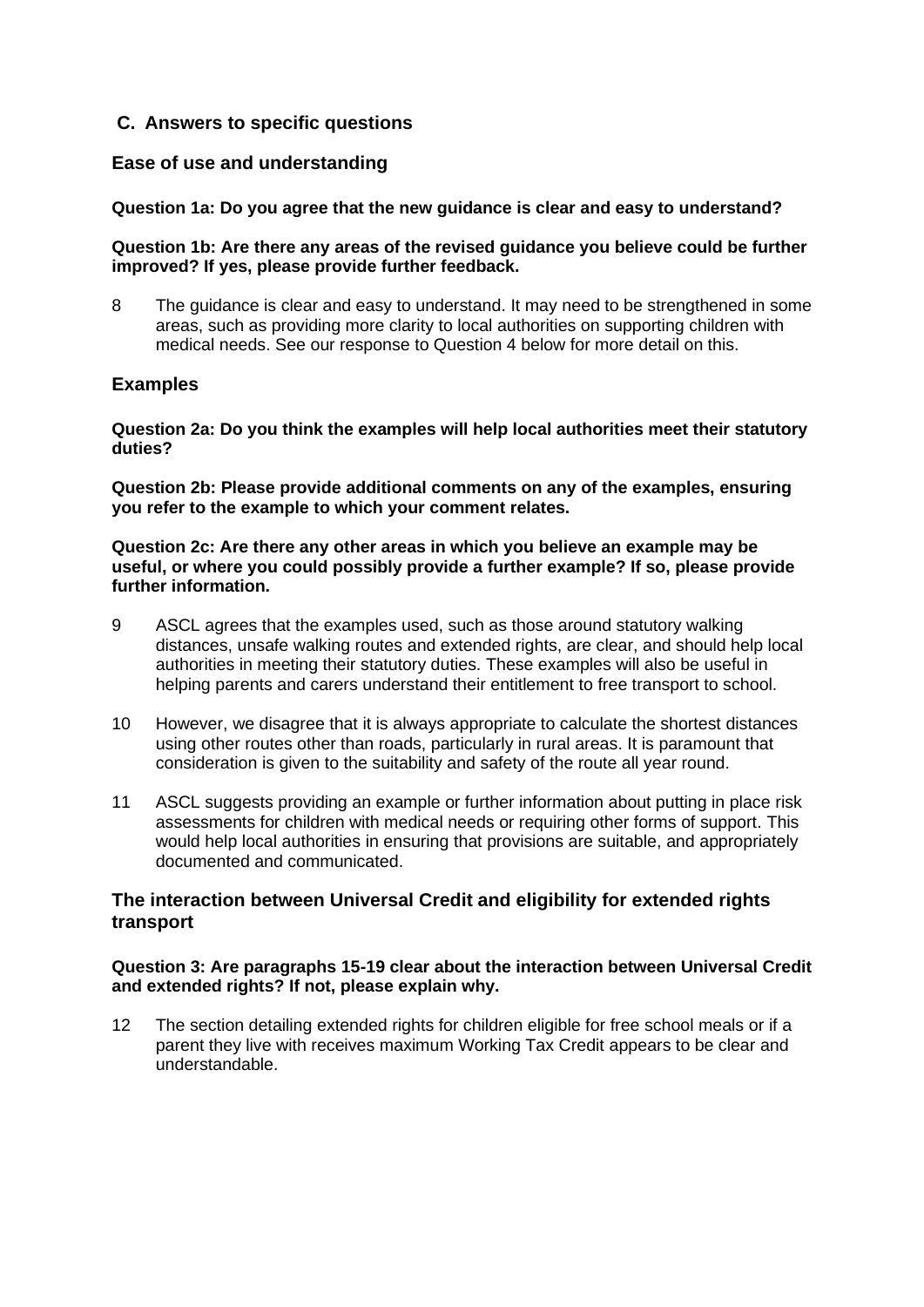### **C. Answers to specific questions**

### **Ease of use and understanding**

#### **Question 1a: Do you agree that the new guidance is clear and easy to understand?**

#### **Question 1b: Are there any areas of the revised guidance you believe could be further improved? If yes, please provide further feedback.**

8 The guidance is clear and easy to understand. It may need to be strengthened in some areas, such as providing more clarity to local authorities on supporting children with medical needs. See our response to Question 4 below for more detail on this.

### **Examples**

**Question 2a: Do you think the examples will help local authorities meet their statutory duties?** 

**Question 2b: Please provide additional comments on any of the examples, ensuring you refer to the example to which your comment relates.** 

#### **Question 2c: Are there any other areas in which you believe an example may be useful, or where you could possibly provide a further example? If so, please provide further information.**

- 9 ASCL agrees that the examples used, such as those around statutory walking distances, unsafe walking routes and extended rights, are clear, and should help local authorities in meeting their statutory duties. These examples will also be useful in helping parents and carers understand their entitlement to free transport to school.
- 10 However, we disagree that it is always appropriate to calculate the shortest distances using other routes other than roads, particularly in rural areas. It is paramount that consideration is given to the suitability and safety of the route all year round.
- 11 ASCL suggests providing an example or further information about putting in place risk assessments for children with medical needs or requiring other forms of support. This would help local authorities in ensuring that provisions are suitable, and appropriately documented and communicated.

### **The interaction between Universal Credit and eligibility for extended rights transport**

#### **Question 3: Are paragraphs 15-19 clear about the interaction between Universal Credit and extended rights? If not, please explain why.**

12 The section detailing extended rights for children eligible for free school meals or if a parent they live with receives maximum Working Tax Credit appears to be clear and understandable.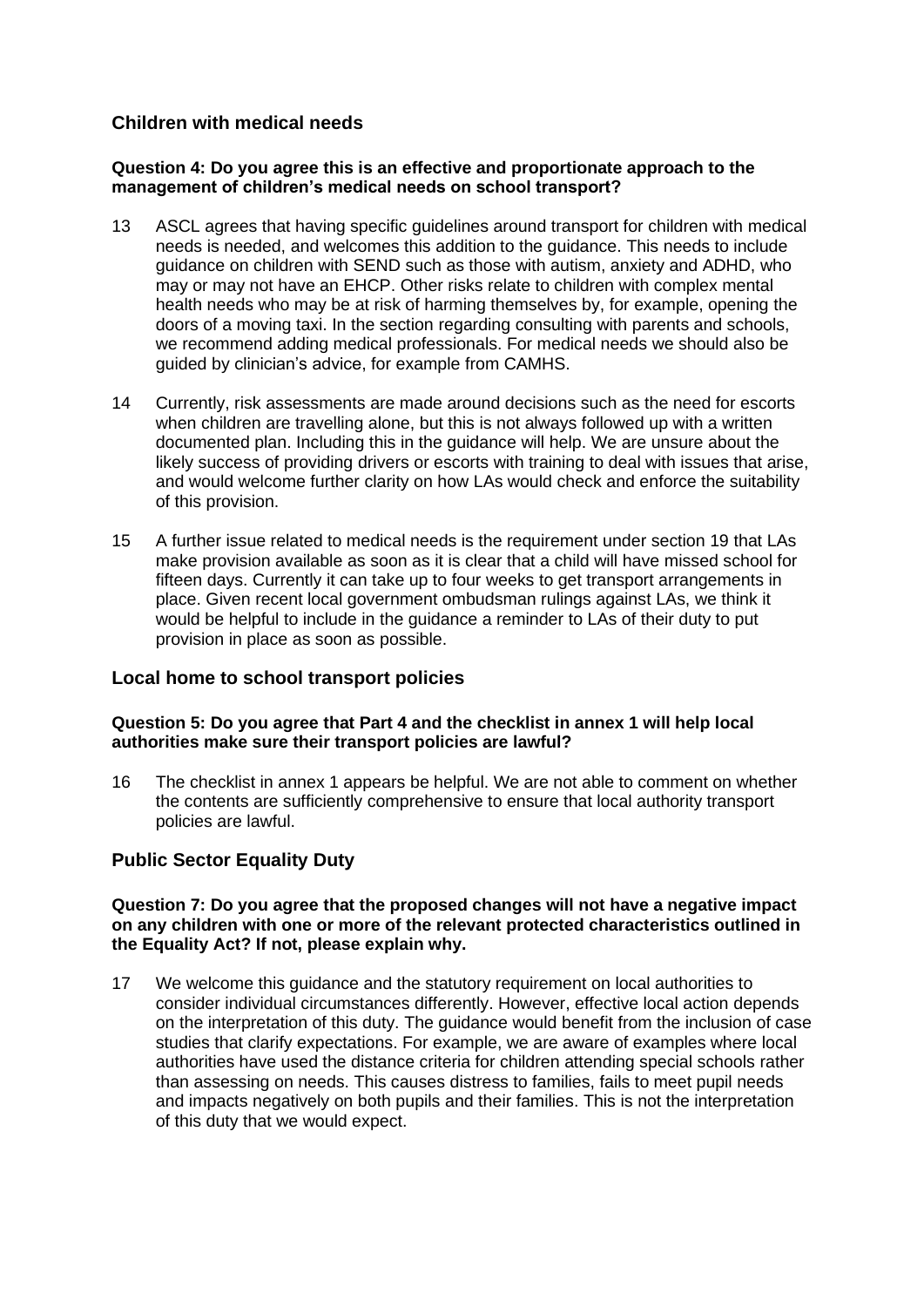### **Children with medical needs**

### **Question 4: Do you agree this is an effective and proportionate approach to the management of children's medical needs on school transport?**

- 13 ASCL agrees that having specific guidelines around transport for children with medical needs is needed, and welcomes this addition to the guidance. This needs to include guidance on children with SEND such as those with autism, anxiety and ADHD, who may or may not have an EHCP. Other risks relate to children with complex mental health needs who may be at risk of harming themselves by, for example, opening the doors of a moving taxi. In the section regarding consulting with parents and schools, we recommend adding medical professionals. For medical needs we should also be guided by clinician's advice, for example from CAMHS.
- 14 Currently, risk assessments are made around decisions such as the need for escorts when children are travelling alone, but this is not always followed up with a written documented plan. Including this in the guidance will help. We are unsure about the likely success of providing drivers or escorts with training to deal with issues that arise, and would welcome further clarity on how LAs would check and enforce the suitability of this provision.
- 15 A further issue related to medical needs is the requirement under section 19 that LAs make provision available as soon as it is clear that a child will have missed school for fifteen days. Currently it can take up to four weeks to get transport arrangements in place. Given recent local government ombudsman rulings against LAs, we think it would be helpful to include in the guidance a reminder to LAs of their duty to put provision in place as soon as possible.

### **Local home to school transport policies**

### **Question 5: Do you agree that Part 4 and the checklist in annex 1 will help local authorities make sure their transport policies are lawful?**

16 The checklist in annex 1 appears be helpful. We are not able to comment on whether the contents are sufficiently comprehensive to ensure that local authority transport policies are lawful.

### **Public Sector Equality Duty**

#### **Question 7: Do you agree that the proposed changes will not have a negative impact on any children with one or more of the relevant protected characteristics outlined in the Equality Act? If not, please explain why.**

17 We welcome this guidance and the statutory requirement on local authorities to consider individual circumstances differently. However, effective local action depends on the interpretation of this duty. The guidance would benefit from the inclusion of case studies that clarify expectations. For example, we are aware of examples where local authorities have used the distance criteria for children attending special schools rather than assessing on needs. This causes distress to families, fails to meet pupil needs and impacts negatively on both pupils and their families. This is not the interpretation of this duty that we would expect.